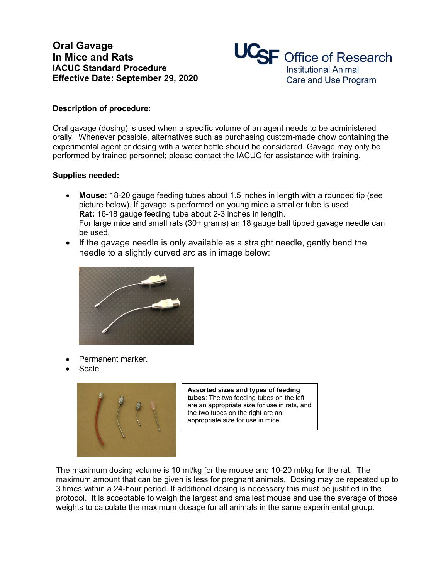## **Oral Gavage In Mice and Rats IACUC Standard Procedure Effective Date: September 29, 2020**



## **Description of procedure:**

Oral gavage (dosing) is used when a specific volume of an agent needs to be administered orally. Whenever possible, alternatives such as purchasing custom-made chow containing the experimental agent or dosing with a water bottle should be considered. Gavage may only be performed by trained personnel; please contact the IACUC for assistance with training.

## **Supplies needed:**

- **Mouse:** 18-20 gauge feeding tubes about 1.5 inches in length with a rounded tip (see picture below). If gavage is performed on young mice a smaller tube is used. **Rat:** 16-18 gauge feeding tube about 2-3 inches in length. For large mice and small rats (30+ grams) an 18 gauge ball tipped gavage needle can be used.
- If the gavage needle is only available as a straight needle, gently bend the needle to a slightly curved arc as in image below:



- Permanent marker.
- Scale.



**Assorted sizes and types of feeding tubes**: The two feeding tubes on the left are an appropriate size for use in rats, and the two tubes on the right are an appropriate size for use in mice.

The maximum dosing volume is 10 ml/kg for the mouse and 10-20 ml/kg for the rat. The maximum amount that can be given is less for pregnant animals. Dosing may be repeated up to 3 times within a 24-hour period. If additional dosing is necessary this must be justified in the protocol. It is acceptable to weigh the largest and smallest mouse and use the average of those weights to calculate the maximum dosage for all animals in the same experimental group.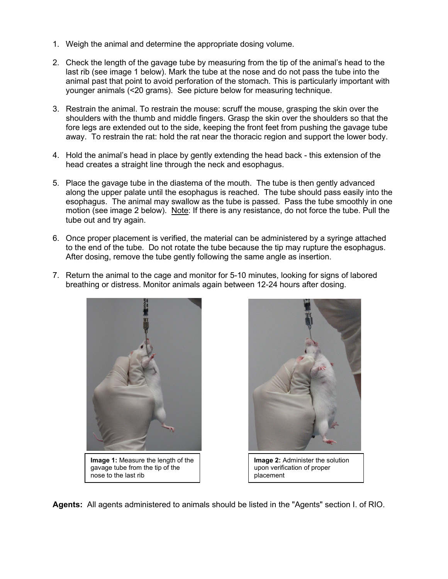- 1. Weigh the animal and determine the appropriate dosing volume.
- 2. Check the length of the gavage tube by measuring from the tip of the animal's head to the last rib (see image 1 below). Mark the tube at the nose and do not pass the tube into the animal past that point to avoid perforation of the stomach. This is particularly important with younger animals (<20 grams). See picture below for measuring technique.
- 3. Restrain the animal. To restrain the mouse: scruff the mouse, grasping the skin over the shoulders with the thumb and middle fingers. Grasp the skin over the shoulders so that the fore legs are extended out to the side, keeping the front feet from pushing the gavage tube away. To restrain the rat: hold the rat near the thoracic region and support the lower body.
- 4. Hold the animal's head in place by gently extending the head back this extension of the head creates a straight line through the neck and esophagus.
- 5. Place the gavage tube in the diastema of the mouth. The tube is then gently advanced along the upper palate until the esophagus is reached. The tube should pass easily into the esophagus. The animal may swallow as the tube is passed. Pass the tube smoothly in one motion (see image 2 below). Note: If there is any resistance, do not force the tube. Pull the tube out and try again.
- 6. Once proper placement is verified, the material can be administered by a syringe attached to the end of the tube. Do not rotate the tube because the tip may rupture the esophagus. After dosing, remove the tube gently following the same angle as insertion.
- 7. Return the animal to the cage and monitor for 5-10 minutes, looking for signs of labored breathing or distress. Monitor animals again between 12-24 hours after dosing.





**Agents:** All agents administered to animals should be listed in the "Agents" section I. of RIO.